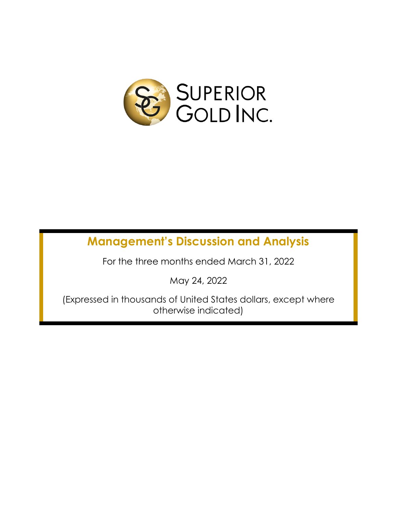

# **Management's Discussion and Analysis**

For the three months ended March 31, 2022

May 24, 2022

(Expressed in thousands of United States dollars, except where otherwise indicated)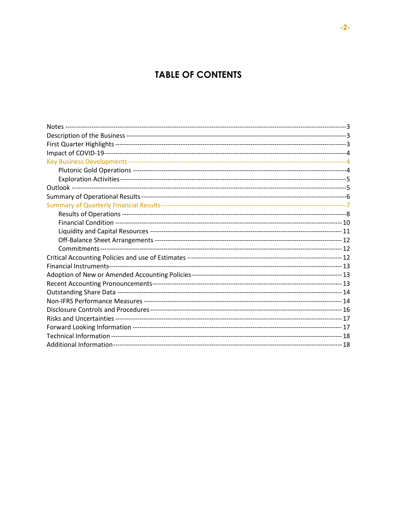# **TABLE OF CONTENTS**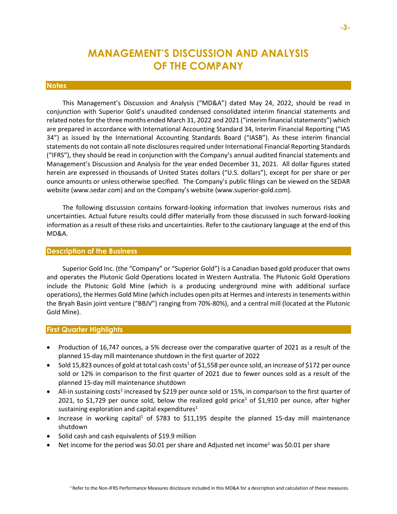# **MANAGEMENT'S DISCUSSION AND ANALYSIS OF THE COMPANY**

#### **Notes**

This Management's Discussion and Analysis ("MD&A") dated May 24, 2022, should be read in conjunction with Superior Gold's unaudited condensed consolidated interim financial statements and related notes for the three months ended March 31, 2022 and 2021 ("interim financial statements") which are prepared in accordance with International Accounting Standard 34, Interim Financial Reporting ("IAS 34") as issued by the International Accounting Standards Board ("IASB"). As these interim financial statements do not contain all note disclosures required under International Financial Reporting Standards ("IFRS"), they should be read in conjunction with the Company's annual audited financial statements and Management's Discussion and Analysis for the year ended December 31, 2021. All dollar figures stated herein are expressed in thousands of United States dollars ("U.S. dollars"), except for per share or per ounce amounts or unless otherwise specified. The Company's public filings can be viewed on the SEDAR website (www.sedar.com) and on the Company's website (www.superior-gold.com).

The following discussion contains forward-looking information that involves numerous risks and uncertainties. Actual future results could differ materially from those discussed in such forward-looking information as a result of these risks and uncertainties. Refer to the cautionary language at the end of this MD&A.

# **Description of the Business**

Superior Gold Inc. (the "Company" or "Superior Gold") is a Canadian based gold producer that owns and operates the Plutonic Gold Operations located in Western Australia. The Plutonic Gold Operations include the Plutonic Gold Mine (which is a producing underground mine with additional surface operations), the Hermes Gold Mine (which includes open pits at Hermes and interests in tenements within the Bryah Basin joint venture ("BBJV") ranging from 70%-80%), and a central mill (located at the Plutonic Gold Mine).

#### **First Quarter Highlights**

- Production of 16,747 ounces, a 5% decrease over the comparative quarter of 2021 as a result of the planned 15-day mill maintenance shutdown in the first quarter of 2022
- Sold 15,823 ounces of gold at total cash costs<sup>1</sup> of \$1,558 per ounce sold, an increase of \$172 per ounce sold or 12% in comparison to the first quarter of 2021 due to fewer ounces sold as a result of the planned 15-day mill maintenance shutdown
- All-in sustaining costs<sup>1</sup> increased by \$219 per ounce sold or 15%, in comparison to the first quarter of 2021, to \$1,729 per ounce sold, below the realized gold price<sup>1</sup> of \$1,910 per ounce, after higher sustaining exploration and capital expenditures<sup>1</sup>
- Increase in working capital<sup>1</sup> of \$783 to \$11,195 despite the planned 15-day mill maintenance shutdown
- Solid cash and cash equivalents of \$19.9 million
- Net income for the period was \$0.01 per share and Adjusted net income<sup>1</sup> was \$0.01 per share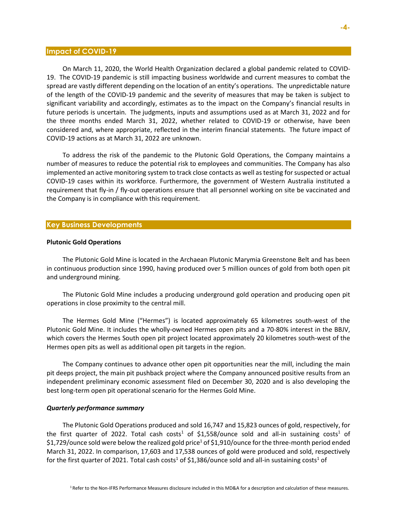#### **Impact of COVID-19**

On March 11, 2020, the World Health Organization declared a global pandemic related to COVID-19. The COVID-19 pandemic is still impacting business worldwide and current measures to combat the spread are vastly different depending on the location of an entity's operations. The unpredictable nature of the length of the COVID-19 pandemic and the severity of measures that may be taken is subject to significant variability and accordingly, estimates as to the impact on the Company's financial results in future periods is uncertain. The judgments, inputs and assumptions used as at March 31, 2022 and for the three months ended March 31, 2022, whether related to COVID-19 or otherwise, have been considered and, where appropriate, reflected in the interim financial statements. The future impact of COVID-19 actions as at March 31, 2022 are unknown.

To address the risk of the pandemic to the Plutonic Gold Operations, the Company maintains a number of measures to reduce the potential risk to employees and communities. The Company has also implemented an active monitoring system to track close contacts as well astesting for suspected or actual COVID-19 cases within its workforce. Furthermore, the government of Western Australia instituted a requirement that fly-in / fly-out operations ensure that all personnel working on site be vaccinated and the Company is in compliance with this requirement.

#### **Key Business Developments**

#### **Plutonic Gold Operations**

The Plutonic Gold Mine is located in the Archaean Plutonic Marymia Greenstone Belt and has been in continuous production since 1990, having produced over 5 million ounces of gold from both open pit and underground mining.

The Plutonic Gold Mine includes a producing underground gold operation and producing open pit operations in close proximity to the central mill.

The Hermes Gold Mine ("Hermes") is located approximately 65 kilometres south-west of the Plutonic Gold Mine. It includes the wholly-owned Hermes open pits and a 70-80% interest in the BBJV, which covers the Hermes South open pit project located approximately 20 kilometres south-west of the Hermes open pits as well as additional open pit targets in the region.

The Company continues to advance other open pit opportunities near the mill, including the main pit deeps project, the main pit pushback project where the Company announced positive results from an independent preliminary economic assessment filed on December 30, 2020 and is also developing the best long-term open pit operational scenario for the Hermes Gold Mine.

#### *Quarterly performance summary*

The Plutonic Gold Operations produced and sold 16,747 and 15,823 ounces of gold, respectively, for the first quarter of 2022. Total cash costs<sup>1</sup> of \$1,558/ounce sold and all-in sustaining costs<sup>1</sup> of \$1,729/ounce sold were below the realized gold price<sup>1</sup> of \$1,910/ounce for the three-month period ended March 31, 2022. In comparison, 17,603 and 17,538 ounces of gold were produced and sold, respectively for the first quarter of 2021. Total cash costs<sup>1</sup> of \$1,386/ounce sold and all-in sustaining costs<sup>1</sup> of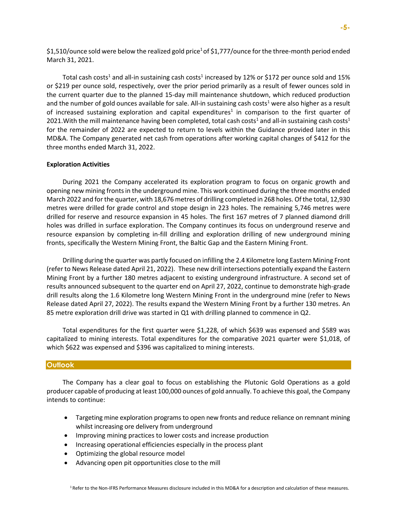\$1,510/ounce sold were below the realized gold price<sup>1</sup> of \$1,777/ounce for the three-month period ended March 31, 2021.

Total cash costs<sup>1</sup> and all-in sustaining cash costs<sup>1</sup> increased by 12% or \$172 per ounce sold and 15% or \$219 per ounce sold, respectively, over the prior period primarily as a result of fewer ounces sold in the current quarter due to the planned 15-day mill maintenance shutdown, which reduced production and the number of gold ounces available for sale. All-in sustaining cash costs<sup>1</sup> were also higher as a result of increased sustaining exploration and capital expenditures<sup>1</sup> in comparison to the first quarter of 2021. With the mill maintenance having been completed, total cash costs<sup>1</sup> and all-in sustaining cash costs<sup>1</sup> for the remainder of 2022 are expected to return to levels within the Guidance provided later in this MD&A. The Company generated net cash from operations after working capital changes of \$412 for the three months ended March 31, 2022.

#### **Exploration Activities**

During 2021 the Company accelerated its exploration program to focus on organic growth and opening new mining fronts in the underground mine. This work continued during the three months ended March 2022 and for the quarter, with 18,676 metres of drilling completed in 268 holes. Of the total, 12,930 metres were drilled for grade control and stope design in 223 holes. The remaining 5,746 metres were drilled for reserve and resource expansion in 45 holes. The first 167 metres of 7 planned diamond drill holes was drilled in surface exploration. The Company continues its focus on underground reserve and resource expansion by completing in-fill drilling and exploration drilling of new underground mining fronts, specifically the Western Mining Front, the Baltic Gap and the Eastern Mining Front.

Drilling during the quarter was partly focused on infilling the 2.4 Kilometre long Eastern Mining Front (refer to News Release dated April 21, 2022). These new drill intersections potentially expand the Eastern Mining Front by a further 180 metres adjacent to existing underground infrastructure. A second set of results announced subsequent to the quarter end on April 27, 2022, continue to demonstrate high-grade drill results along the 1.6 Kilometre long Western Mining Front in the underground mine (refer to News Release dated April 27, 2022). The results expand the Western Mining Front by a further 130 metres. An 85 metre exploration drill drive was started in Q1 with drilling planned to commence in Q2.

Total expenditures for the first quarter were \$1,228, of which \$639 was expensed and \$589 was capitalized to mining interests. Total expenditures for the comparative 2021 quarter were \$1,018, of which \$622 was expensed and \$396 was capitalized to mining interests.

#### **Outlook**

The Company has a clear goal to focus on establishing the Plutonic Gold Operations as a gold producer capable of producing at least 100,000 ounces of gold annually. To achieve this goal, the Company intends to continue:

- Targeting mine exploration programs to open new fronts and reduce reliance on remnant mining whilst increasing ore delivery from underground
- Improving mining practices to lower costs and increase production
- Increasing operational efficiencies especially in the process plant
- Optimizing the global resource model
- Advancing open pit opportunities close to the mill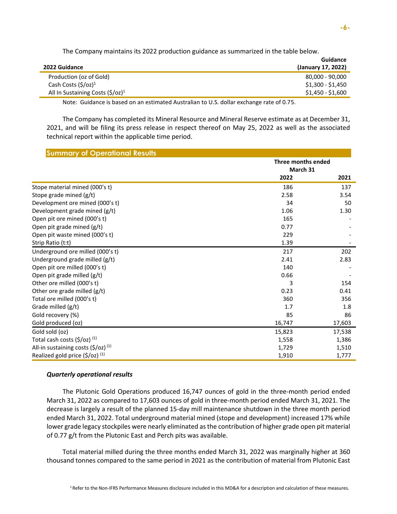The Company maintains its 2022 production guidance as summarized in the table below.

| 2022 Guidance                              | Guidance<br>(January 17, 2022) |
|--------------------------------------------|--------------------------------|
|                                            |                                |
| Production (oz of Gold)                    | 80,000 - 90,000                |
| Cash Costs $(\frac{\xi}{\sigma^2})^1$      | $$1,300 - $1,450$              |
| All In Sustaining Costs $(\frac{5}{oz})^1$ | \$1,450 - \$1,600              |
|                                            |                                |

Note: Guidance is based on an estimated Australian to U.S. dollar exchange rate of 0.75.

The Company has completed its Mineral Resource and Mineral Reserve estimate as at December 31, 2021, and will be filing its press release in respect thereof on May 25, 2022 as well as the associated technical report within the applicable time period.

| <b>Summary of Operational Results</b>              |                                |        |  |
|----------------------------------------------------|--------------------------------|--------|--|
|                                                    | Three months ended<br>March 31 |        |  |
|                                                    | 2022                           | 2021   |  |
| Stope material mined (000's t)                     | 186                            | 137    |  |
| Stope grade mined (g/t)                            | 2.58                           | 3.54   |  |
| Development ore mined (000's t)                    | 34                             | 50     |  |
| Development grade mined (g/t)                      | 1.06                           | 1.30   |  |
| Open pit ore mined (000's t)                       | 165                            |        |  |
| Open pit grade mined (g/t)                         | 0.77                           |        |  |
| Open pit waste mined (000's t)                     | 229                            |        |  |
| Strip Ratio (t:t)                                  | 1.39                           |        |  |
| Underground ore milled (000's t)                   | 217                            | 202    |  |
| Underground grade milled (g/t)                     | 2.41                           | 2.83   |  |
| Open pit ore milled (000's t)                      | 140                            |        |  |
| Open pit grade milled (g/t)                        | 0.66                           |        |  |
| Other ore milled (000's t)                         | 3                              | 154    |  |
| Other ore grade milled (g/t)                       | 0.23                           | 0.41   |  |
| Total ore milled (000's t)                         | 360                            | 356    |  |
| Grade milled (g/t)                                 | 1.7                            | 1.8    |  |
| Gold recovery (%)                                  | 85                             | 86     |  |
| Gold produced (oz)                                 | 16,747                         | 17,603 |  |
| Gold sold (oz)                                     | 15,823                         | 17,538 |  |
| Total cash costs $(\frac{2}{3})$ (1)               | 1,558                          | 1,386  |  |
| All-in sustaining costs $(\frac{5}{0z})^{(1)}$     | 1,729                          | 1,510  |  |
| Realized gold price $(\frac{2}{5}\sqrt{oz})^{(1)}$ | 1,910                          | 1,777  |  |

# *Quarterly operational results*

The Plutonic Gold Operations produced 16,747 ounces of gold in the three-month period ended March 31, 2022 as compared to 17,603 ounces of gold in three-month period ended March 31, 2021. The decrease is largely a result of the planned 15-day mill maintenance shutdown in the three month period ended March 31, 2022. Total underground material mined (stope and development) increased 17% while lower grade legacy stockpiles were nearly eliminated as the contribution of higher grade open pit material of 0.77 g/t from the Plutonic East and Perch pits was available.

Total material milled during the three months ended March 31, 2022 was marginally higher at 360 thousand tonnes compared to the same period in 2021 as the contribution of material from Plutonic East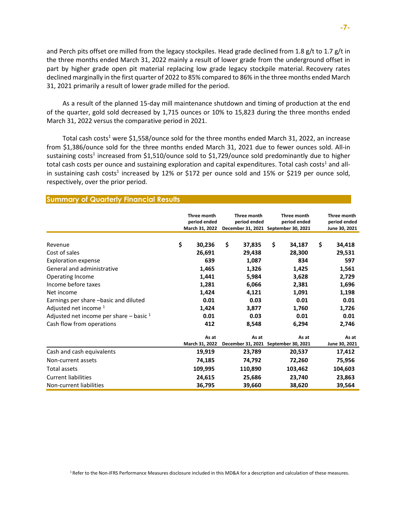and Perch pits offset ore milled from the legacy stockpiles. Head grade declined from 1.8 g/t to 1.7 g/t in the three months ended March 31, 2022 mainly a result of lower grade from the underground offset in part by higher grade open pit material replacing low grade legacy stockpile material. Recovery rates declined marginally in the first quarter of 2022 to 85% compared to 86% in the three months ended March 31, 2021 primarily a result of lower grade milled for the period.

As a result of the planned 15-day mill maintenance shutdown and timing of production at the end of the quarter, gold sold decreased by 1,715 ounces or 10% to 15,823 during the three months ended March 31, 2022 versus the comparative period in 2021.

Total cash costs<sup>1</sup> were \$1,558/ounce sold for the three months ended March 31, 2022, an increase from \$1,386/ounce sold for the three months ended March 31, 2021 due to fewer ounces sold. All-in sustaining costs<sup>1</sup> increased from \$1,510/ounce sold to \$1,729/ounce sold predominantly due to higher total cash costs per ounce and sustaining exploration and capital expenditures. Total cash costs<sup>1</sup> and allin sustaining cash costs<sup>1</sup> increased by 12% or \$172 per ounce sold and 15% or \$219 per ounce sold, respectively, over the prior period.

|                                           | Three month<br>period ended<br>March 31, 2022 | Three month<br>period ended | Three month<br>period ended<br>December 31, 2021 September 30, 2021 | Three month<br>period ended<br>June 30, 2021 |
|-------------------------------------------|-----------------------------------------------|-----------------------------|---------------------------------------------------------------------|----------------------------------------------|
| Revenue                                   | \$<br>30,236                                  | \$<br>37,835                | \$<br>34,187                                                        | \$<br>34,418                                 |
| Cost of sales                             | 26,691                                        | 29,438                      | 28,300                                                              | 29,531                                       |
| <b>Exploration expense</b>                | 639                                           | 1,087                       | 834                                                                 | 597                                          |
| General and administrative                | 1,465                                         | 1,326                       | 1,425                                                               | 1,561                                        |
| Operating Income                          | 1,441                                         | 5,984                       | 3,628                                                               | 2,729                                        |
| Income before taxes                       | 1,281                                         | 6,066                       | 2,381                                                               | 1,696                                        |
| Net income                                | 1,424                                         | 4,121                       | 1,091                                                               | 1,198                                        |
| Earnings per share -basic and diluted     | 0.01                                          | 0.03                        | 0.01                                                                | 0.01                                         |
| Adjusted net income <sup>1</sup>          | 1,424                                         | 3,877                       | 1,760                                                               | 1,726                                        |
| Adjusted net income per share – basic $1$ | 0.01                                          | 0.03                        | 0.01                                                                | 0.01                                         |
| Cash flow from operations                 | 412                                           | 8,548                       | 6,294                                                               | 2,746                                        |
|                                           | As at                                         | As at                       | As at                                                               | As at                                        |
|                                           | March 31, 2022                                | December 31, 2021           | September 30, 2021                                                  | June 30, 2021                                |
| Cash and cash equivalents                 | 19,919                                        | 23,789                      | 20,537                                                              | 17,412                                       |
| Non-current assets                        | 74,185                                        | 74,792                      | 72,260                                                              | 75,956                                       |
| Total assets                              | 109,995                                       | 110,890                     | 103,462                                                             | 104,603                                      |
| <b>Current liabilities</b>                | 24,615                                        | 25,686                      | 23,740                                                              | 23,863                                       |
| Non-current liabilities                   | 36,795                                        | 39,660                      | 38,620                                                              | 39,564                                       |

# **Summary of Quarterly Financial Results**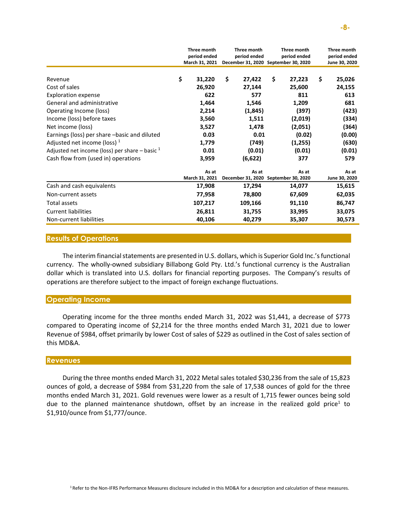|                                                    | Three month    | Three month  | Three month                          | Three month   |
|----------------------------------------------------|----------------|--------------|--------------------------------------|---------------|
|                                                    | period ended   | period ended | period ended                         | period ended  |
|                                                    | March 31, 2021 |              | December 31, 2020 September 30, 2020 | June 30, 2020 |
|                                                    |                |              |                                      |               |
| Revenue                                            | \$<br>31,220   | \$<br>27,422 | \$<br>27,223                         | \$<br>25,026  |
| Cost of sales                                      | 26,920         | 27,144       | 25,600                               | 24,155        |
| <b>Exploration expense</b>                         | 622            | 577          | 811                                  | 613           |
| General and administrative                         | 1,464          | 1,546        | 1,209                                | 681           |
| Operating Income (loss)                            | 2,214          | (1,845)      | (397)                                | (423)         |
| Income (loss) before taxes                         | 3,560          | 1,511        | (2,019)                              | (334)         |
| Net income (loss)                                  | 3,527          | 1,478        | (2,051)                              | (364)         |
| Earnings (loss) per share -basic and diluted       | 0.03           | 0.01         | (0.02)                               | (0.00)        |
| Adjusted net income (loss) $1$                     | 1,779          | (749)        | (1,255)                              | (630)         |
| Adjusted net income (loss) per share $-$ basic $1$ | 0.01           | (0.01)       | (0.01)                               | (0.01)        |
| Cash flow from (used in) operations                | 3,959          | (6,622)      | 377                                  | 579           |
|                                                    | As at          | As at        | As at                                | As at         |
|                                                    | March 31, 2021 |              | December 31, 2020 September 30, 2020 | June 30, 2020 |
| Cash and cash equivalents                          | 17,908         | 17,294       | 14,077                               | 15,615        |
| Non-current assets                                 | 77,958         | 78,800       | 67,609                               | 62,035        |
| Total assets                                       | 107,217        | 109,166      | 91,110                               | 86,747        |
| <b>Current liabilities</b>                         | 26,811         | 31,755       | 33,995                               | 33,075        |
| Non-current liabilities                            | 40,106         | 40,279       | 35,307                               | 30,573        |

### **Results of Operations**

The interim financial statements are presented in U.S. dollars, which is Superior Gold Inc.'s functional currency. The wholly-owned subsidiary Billabong Gold Pty. Ltd.'s functional currency is the Australian dollar which is translated into U.S. dollars for financial reporting purposes. The Company's results of operations are therefore subject to the impact of foreign exchange fluctuations.

## **Operating Income**

Operating income for the three months ended March 31, 2022 was \$1,441, a decrease of \$773 compared to Operating income of \$2,214 for the three months ended March 31, 2021 due to lower Revenue of \$984, offset primarily by lower Cost of sales of \$229 as outlined in the Cost of sales section of this MD&A.

# **Revenues**

During the three months ended March 31, 2022 Metal sales totaled \$30,236 from the sale of 15,823 ounces of gold, a decrease of \$984 from \$31,220 from the sale of 17,538 ounces of gold for the three months ended March 31, 2021. Gold revenues were lower as a result of 1,715 fewer ounces being sold due to the planned maintenance shutdown, offset by an increase in the realized gold price<sup>1</sup> to \$1,910/ounce from \$1,777/ounce.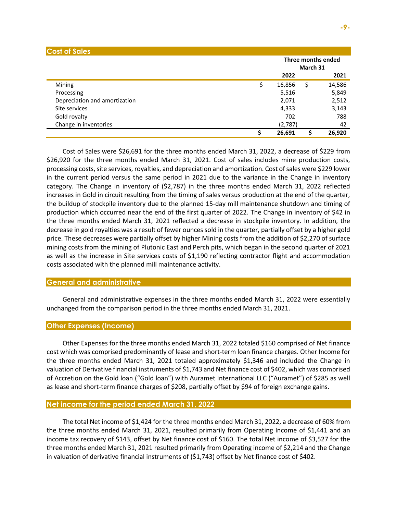| <b>Cost of Sales</b>          |   |         |          |                    |
|-------------------------------|---|---------|----------|--------------------|
|                               |   |         | March 31 | Three months ended |
|                               |   | 2022    |          | 2021               |
| Mining                        |   | 16,856  | \$       | 14,586             |
| Processing                    |   | 5,516   |          | 5,849              |
| Depreciation and amortization |   | 2,071   |          | 2,512              |
| Site services                 |   | 4,333   |          | 3,143              |
| Gold royalty                  |   | 702     |          | 788                |
| Change in inventories         |   | (2,787) |          | 42                 |
|                               | Ş | 26,691  |          | 26,920             |

Cost of Sales were \$26,691 for the three months ended March 31, 2022, a decrease of \$229 from \$26,920 for the three months ended March 31, 2021. Cost of sales includes mine production costs, processing costs, site services, royalties, and depreciation and amortization. Cost of sales were \$229 lower in the current period versus the same period in 2021 due to the variance in the Change in inventory category. The Change in inventory of (\$2,787) in the three months ended March 31, 2022 reflected increases in Gold in circuit resulting from the timing of sales versus production at the end of the quarter, the buildup of stockpile inventory due to the planned 15-day mill maintenance shutdown and timing of production which occurred near the end of the first quarter of 2022. The Change in inventory of \$42 in the three months ended March 31, 2021 reflected a decrease in stockpile inventory. In addition, the decrease in gold royalties was a result of fewer ounces sold in the quarter, partially offset by a higher gold price. These decreases were partially offset by higher Mining costs from the addition of \$2,270 of surface mining costs from the mining of Plutonic East and Perch pits, which began in the second quarter of 2021 as well as the increase in Site services costs of \$1,190 reflecting contractor flight and accommodation costs associated with the planned mill maintenance activity.

## **General and administrative**

General and administrative expenses in the three months ended March 31, 2022 were essentially unchanged from the comparison period in the three months ended March 31, 2021.

## **Other Expenses (Income)**

Other Expenses for the three months ended March 31, 2022 totaled \$160 comprised of Net finance cost which was comprised predominantly of lease and short-term loan finance charges. Other Income for the three months ended March 31, 2021 totaled approximately \$1,346 and included the Change in valuation of Derivative financial instruments of \$1,743 and Net finance cost of \$402, which was comprised of Accretion on the Gold loan ("Gold loan") with Auramet International LLC ("Auramet") of \$285 as well as lease and short-term finance charges of \$208, partially offset by \$94 of foreign exchange gains.

# **Net income for the period ended March 31, 2022**

The total Net income of \$1,424 for the three months ended March 31, 2022, a decrease of 60% from the three months ended March 31, 2021, resulted primarily from Operating Income of \$1,441 and an income tax recovery of \$143, offset by Net finance cost of \$160. The total Net income of \$3,527 for the three months ended March 31, 2021 resulted primarily from Operating income of \$2,214 and the Change in valuation of derivative financial instruments of (\$1,743) offset by Net finance cost of \$402.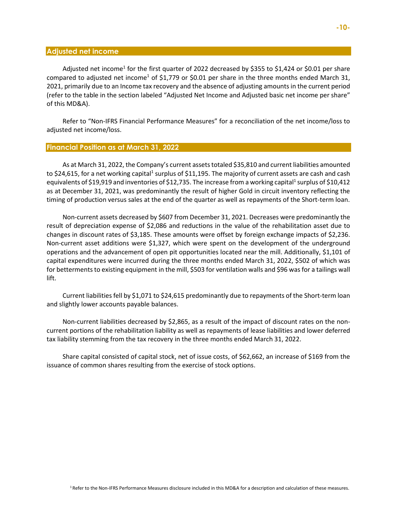## **Adjusted net income**

Adjusted net income<sup>1</sup> for the first quarter of 2022 decreased by \$355 to \$1,424 or \$0.01 per share compared to adjusted net income<sup>1</sup> of \$1,779 or \$0.01 per share in the three months ended March 31, 2021, primarily due to an Income tax recovery and the absence of adjusting amounts in the current period (refer to the table in the section labeled "Adjusted Net Income and Adjusted basic net income per share" of this MD&A).

Refer to "Non-IFRS Financial Performance Measures" for a reconciliation of the net income/loss to adjusted net income/loss.

## **Financial Position as at March 31, 2022**

As at March 31, 2022, the Company's current assets totaled \$35,810 and current liabilities amounted to \$24,615, for a net working capital<sup>1</sup> surplus of \$11,195. The majority of current assets are cash and cash equivalents of \$19,919 and inventories of \$12,735. The increase from a working capital<sup>1</sup> surplus of \$10,412 as at December 31, 2021, was predominantly the result of higher Gold in circuit inventory reflecting the timing of production versus sales at the end of the quarter as well as repayments of the Short-term loan.

Non-current assets decreased by \$607 from December 31, 2021. Decreases were predominantly the result of depreciation expense of \$2,086 and reductions in the value of the rehabilitation asset due to changes in discount rates of \$3,185. These amounts were offset by foreign exchange impacts of \$2,236. Non-current asset additions were \$1,327, which were spent on the development of the underground operations and the advancement of open pit opportunities located near the mill. Additionally, \$1,101 of capital expenditures were incurred during the three months ended March 31, 2022, \$502 of which was for betterments to existing equipment in the mill, \$503 for ventilation walls and \$96 was for a tailings wall lift.

Current liabilities fell by \$1,071 to \$24,615 predominantly due to repayments of the Short-term loan and slightly lower accounts payable balances.

Non-current liabilities decreased by \$2,865, as a result of the impact of discount rates on the noncurrent portions of the rehabilitation liability as well as repayments of lease liabilities and lower deferred tax liability stemming from the tax recovery in the three months ended March 31, 2022.

Share capital consisted of capital stock, net of issue costs, of \$62,662, an increase of \$169 from the issuance of common shares resulting from the exercise of stock options.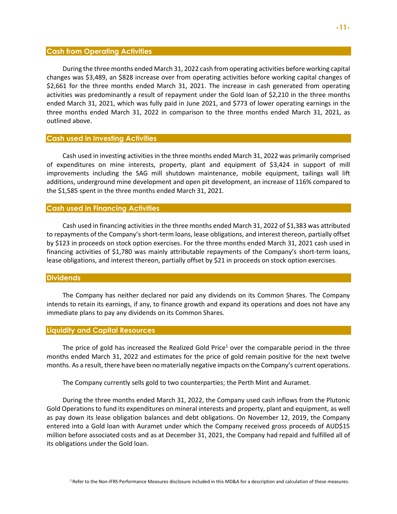#### **Cash from Operating Activities**

During the three months ended March 31, 2022 cash from operating activities before working capital changes was \$3,489, an \$828 increase over from operating activities before working capital changes of \$2,661 for the three months ended March 31, 2021. The increase in cash generated from operating activities was predominantly a result of repayment under the Gold loan of \$2,210 in the three months ended March 31, 2021, which was fully paid in June 2021, and \$773 of lower operating earnings in the three months ended March 31, 2022 in comparison to the three months ended March 31, 2021, as outlined above.

#### **Cash used in Investing Activities**

Cash used in investing activities in the three months ended March 31, 2022 was primarily comprised of expenditures on mine interests, property, plant and equipment of \$3,424 in support of mill improvements including the SAG mill shutdown maintenance, mobile equipment, tailings wall lift additions, underground mine development and open pit development, an increase of 116% compared to the \$1,585 spent in the three months ended March 31, 2021.

#### **Cash used in Financing Activities**

Cash used in financing activities in the three months ended March 31, 2022 of \$1,383 was attributed to repayments of the Company's short-term loans, lease obligations, and interest thereon, partially offset by \$123 in proceeds on stock option exercises. For the three months ended March 31, 2021 cash used in financing activities of \$1,780 was mainly attributable repayments of the Company's short-term loans, lease obligations, and interest thereon, partially offset by \$21 in proceeds on stock option exercises.

# **Dividends**

The Company has neither declared nor paid any dividends on its Common Shares. The Company intends to retain its earnings, if any, to finance growth and expand its operations and does not have any immediate plans to pay any dividends on its Common Shares.

#### **Liquidity and Capital Resources**

The price of gold has increased the Realized Gold Price<sup>1</sup> over the comparable period in the three months ended March 31, 2022 and estimates for the price of gold remain positive for the next twelve months. As a result, there have been no materially negative impacts on the Company's current operations.

The Company currently sells gold to two counterparties; the Perth Mint and Auramet.

During the three months ended March 31, 2022, the Company used cash inflows from the Plutonic Gold Operations to fund its expenditures on mineral interests and property, plant and equipment, as well as pay down its lease obligation balances and debt obligations. On November 12, 2019, the Company entered into a Gold loan with Auramet under which the Company received gross proceeds of AUD\$15 million before associated costs and as at December 31, 2021, the Company had repaid and fulfilled all of its obligations under the Gold loan.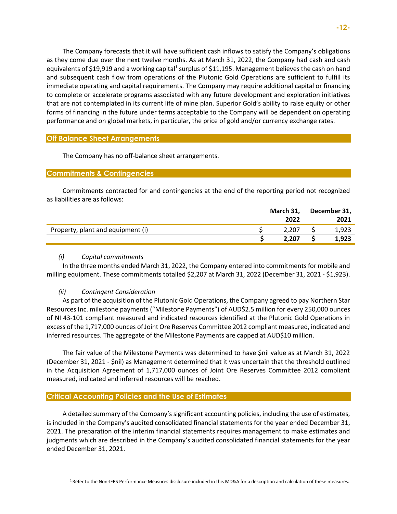The Company forecasts that it will have sufficient cash inflows to satisfy the Company's obligations as they come due over the next twelve months. As at March 31, 2022, the Company had cash and cash equivalents of \$19,919 and a working capital<sup>1</sup> surplus of \$11,195. Management believes the cash on hand and subsequent cash flow from operations of the Plutonic Gold Operations are sufficient to fulfill its immediate operating and capital requirements. The Company may require additional capital or financing to complete or accelerate programs associated with any future development and exploration initiatives that are not contemplated in its current life of mine plan. Superior Gold's ability to raise equity or other forms of financing in the future under terms acceptable to the Company will be dependent on operating performance and on global markets, in particular, the price of gold and/or currency exchange rates.

# **Off Balance Sheet Arrangements**

The Company has no off-balance sheet arrangements.

## **Commitments & Contingencies**

Commitments contracted for and contingencies at the end of the reporting period not recognized as liabilities are as follows:

|                                   | March 31, | December 31, |
|-----------------------------------|-----------|--------------|
|                                   | 2022      | 2021         |
| Property, plant and equipment (i) | 2.207     | 1,923        |
|                                   | 2.207     | 1,923        |

# *(i) Capital commitments*

In the three months ended March 31, 2022, the Company entered into commitments for mobile and milling equipment. These commitments totalled \$2,207 at March 31, 2022 (December 31, 2021 - \$1,923).

## *(ii) Contingent Consideration*

As part of the acquisition of the Plutonic Gold Operations, the Company agreed to pay Northern Star Resources Inc. milestone payments ("Milestone Payments") of AUD\$2.5 million for every 250,000 ounces of NI 43-101 compliant measured and indicated resources identified at the Plutonic Gold Operations in excess of the 1,717,000 ounces of Joint Ore Reserves Committee 2012 compliant measured, indicated and inferred resources. The aggregate of the Milestone Payments are capped at AUD\$10 million.

The fair value of the Milestone Payments was determined to have \$nil value as at March 31, 2022 (December 31, 2021 - \$nil) as Management determined that it was uncertain that the threshold outlined in the Acquisition Agreement of 1,717,000 ounces of Joint Ore Reserves Committee 2012 compliant measured, indicated and inferred resources will be reached.

# **Critical Accounting Policies and the Use of Estimates**

A detailed summary of the Company's significant accounting policies, including the use of estimates, is included in the Company's audited consolidated financial statements for the year ended December 31, 2021. The preparation of the interim financial statements requires management to make estimates and judgments which are described in the Company's audited consolidated financial statements for the year ended December 31, 2021.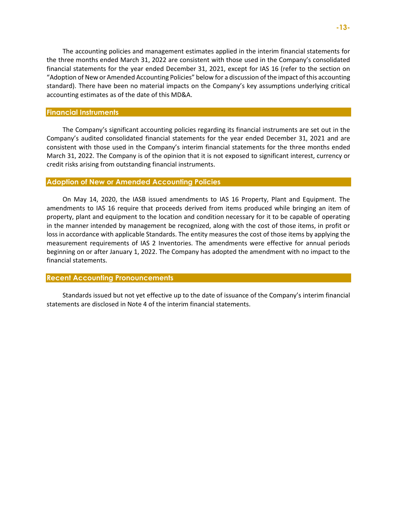The accounting policies and management estimates applied in the interim financial statements for the three months ended March 31, 2022 are consistent with those used in the Company's consolidated financial statements for the year ended December 31, 2021, except for IAS 16 (refer to the section on "Adoption of New or Amended Accounting Policies" below for a discussion of the impact of this accounting standard). There have been no material impacts on the Company's key assumptions underlying critical accounting estimates as of the date of this MD&A.

#### **Financial Instruments**

The Company's significant accounting policies regarding its financial instruments are set out in the Company's audited consolidated financial statements for the year ended December 31, 2021 and are consistent with those used in the Company's interim financial statements for the three months ended March 31, 2022. The Company is of the opinion that it is not exposed to significant interest, currency or credit risks arising from outstanding financial instruments.

# **Adoption of New or Amended Accounting Policies**

On May 14, 2020, the IASB issued amendments to IAS 16 Property, Plant and Equipment. The amendments to IAS 16 require that proceeds derived from items produced while bringing an item of property, plant and equipment to the location and condition necessary for it to be capable of operating in the manner intended by management be recognized, along with the cost of those items, in profit or loss in accordance with applicable Standards. The entity measures the cost of those items by applying the measurement requirements of IAS 2 Inventories. The amendments were effective for annual periods beginning on or after January 1, 2022. The Company has adopted the amendment with no impact to the financial statements.

# **Recent Accounting Pronouncements**

Standards issued but not yet effective up to the date of issuance of the Company's interim financial statements are disclosed in Note 4 of the interim financial statements.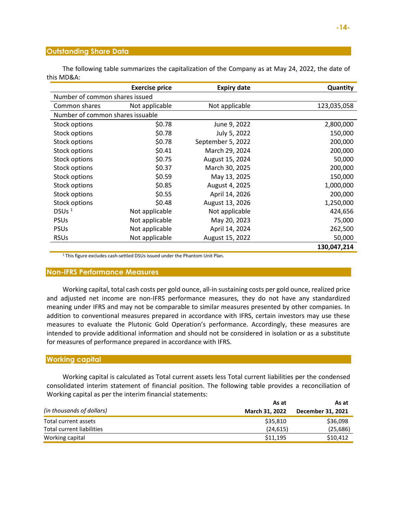# **Outstanding Share Data**

The following table summarizes the capitalization of the Company as at May 24, 2022, the date of this MD&A:

|                                  | <b>Exercise price</b> | <b>Expiry date</b> | Quantity    |
|----------------------------------|-----------------------|--------------------|-------------|
| Number of common shares issued   |                       |                    |             |
| Common shares                    | Not applicable        | Not applicable     | 123,035,058 |
| Number of common shares issuable |                       |                    |             |
| Stock options                    | \$0.78                | June 9, 2022       | 2,800,000   |
| <b>Stock options</b>             | \$0.78                | July 5, 2022       | 150,000     |
| <b>Stock options</b>             | \$0.78                | September 5, 2022  | 200,000     |
| Stock options                    | \$0.41                | March 29, 2024     | 200,000     |
| Stock options                    | \$0.75                | August 15, 2024    | 50,000      |
| Stock options                    | \$0.37                | March 30, 2025     | 200,000     |
| Stock options                    | \$0.59                | May 13, 2025       | 150,000     |
| Stock options                    | \$0.85                | August 4, 2025     | 1,000,000   |
| Stock options                    | \$0.55                | April 14, 2026     | 200,000     |
| Stock options                    | \$0.48                | August 13, 2026    | 1,250,000   |
| DSUs $1$                         | Not applicable        | Not applicable     | 424,656     |
| <b>PSUs</b>                      | Not applicable        | May 20, 2023       | 75,000      |
| <b>PSUs</b>                      | Not applicable        | April 14, 2024     | 262,500     |
| <b>RSUs</b>                      | Not applicable        | August 15, 2022    | 50,000      |
|                                  |                       |                    | 130,047,214 |

<sup>1</sup> This figure excludes cash-settled DSUs issued under the Phantom Unit Plan.

## **Non-IFRS Performance Measures**

Working capital, total cash costs per gold ounce, all-in sustaining costs per gold ounce, realized price and adjusted net income are non-IFRS performance measures, they do not have any standardized meaning under IFRS and may not be comparable to similar measures presented by other companies. In addition to conventional measures prepared in accordance with IFRS, certain investors may use these measures to evaluate the Plutonic Gold Operation's performance. Accordingly, these measures are intended to provide additional information and should not be considered in isolation or as a substitute for measures of performance prepared in accordance with IFRS.

## **Working capital**

Working capital is calculated as Total current assets less Total current liabilities per the condensed consolidated interim statement of financial position. The following table provides a reconciliation of Working capital as per the interim financial statements:

|                           | As at                 | As at             |
|---------------------------|-----------------------|-------------------|
| (in thousands of dollars) | <b>March 31, 2022</b> | December 31, 2021 |
| Total current assets      | \$35,810              | \$36,098          |
| Total current liabilities | (24, 615)             | (25, 686)         |
| Working capital           | \$11,195              | \$10,412          |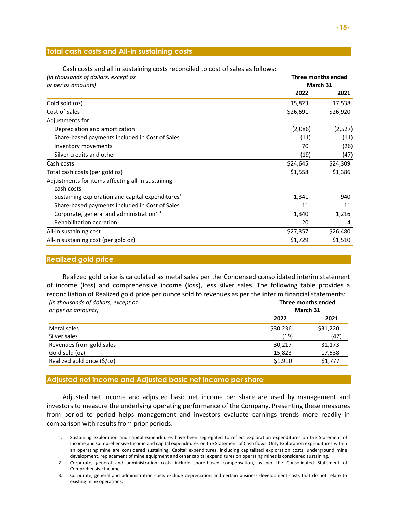# **Total cash costs and All-in sustaining costs**

| (in thousands of dollars, except oz                  |          | Three months ended |  |  |  |
|------------------------------------------------------|----------|--------------------|--|--|--|
| or per oz amounts)                                   |          | March 31           |  |  |  |
|                                                      | 2022     | 2021               |  |  |  |
| Gold sold (oz)                                       | 15,823   | 17,538             |  |  |  |
| Cost of Sales                                        | \$26,691 | \$26,920           |  |  |  |
| Adjustments for:                                     |          |                    |  |  |  |
| Depreciation and amortization                        | (2,086)  | (2,527)            |  |  |  |
| Share-based payments included in Cost of Sales       | (11)     | (11)               |  |  |  |
| Inventory movements                                  | 70       | (26)               |  |  |  |
| Silver credits and other                             | (19)     | (47)               |  |  |  |
| Cash costs                                           | \$24,645 | \$24,309           |  |  |  |
| Total cash costs (per gold oz)                       | \$1,558  | \$1,386            |  |  |  |
| Adjustments for items affecting all-in sustaining    |          |                    |  |  |  |
| cash costs:                                          |          |                    |  |  |  |
| Sustaining exploration and capital expenditures $1$  | 1,341    | 940                |  |  |  |
| Share-based payments included in Cost of Sales       | 11       | 11                 |  |  |  |
| Corporate, general and administration <sup>2,3</sup> | 1,340    | 1,216              |  |  |  |
| Rehabilitation accretion                             | 20       | 4                  |  |  |  |
| All-in sustaining cost                               | \$27,357 | \$26,480           |  |  |  |
| All-in sustaining cost (per gold oz)                 | \$1,729  | \$1,510            |  |  |  |

Cash costs and all in sustaining costs reconciled to cost of sales as follows:

## **Realized gold price**

Realized gold price is calculated as metal sales per the Condensed consolidated interim statement of income (loss) and comprehensive income (loss), less silver sales. The following table provides a reconciliation of Realized gold price per ounce sold to revenues as per the interim financial statements: *(in thousands of dollars, except oz*  **Three months ended**

| in chousands of abhais, cheept of |          |          |  |  |  |
|-----------------------------------|----------|----------|--|--|--|
| or per oz amounts)                |          | March 31 |  |  |  |
|                                   | 2022     | 2021     |  |  |  |
| Metal sales                       | \$30,236 | \$31,220 |  |  |  |
| Silver sales                      | (19)     | (47)     |  |  |  |
| Revenues from gold sales          | 30,217   | 31,173   |  |  |  |
| Gold sold (oz)                    | 15,823   | 17,538   |  |  |  |
| Realized gold price (\$/oz)       | \$1,910  | \$1,777  |  |  |  |
|                                   |          |          |  |  |  |

# **Adjusted net income and Adjusted basic net income per share**

Adjusted net income and adjusted basic net income per share are used by management and investors to measure the underlying operating performance of the Company. Presenting these measures from period to period helps management and investors evaluate earnings trends more readily in comparison with results from prior periods.

- 1. Sustaining exploration and capital expenditures have been segregated to reflect exploration expenditures on the Statement of Income and Comprehensive Income and capital expenditures on the Statement of Cash flows. Only Exploration expenditures within an operating mine are considered sustaining. Capital expenditures, including capitalized exploration costs, underground mine development, replacement of mine equipment and other capital expenditures on operating mines is considered sustaining.
- 2. Corporate, general and administration costs include share-based compensation, as per the Consolidated Statement of Comprehensive Income.
- 3. Corporate, general and administration costs exclude depreciation and certain business development costs that do not relate to existing mine operations.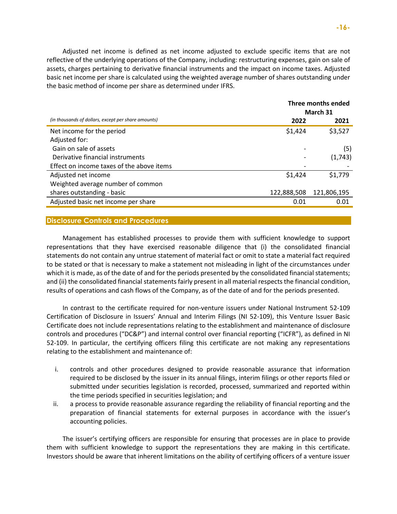Adjusted net income is defined as net income adjusted to exclude specific items that are not reflective of the underlying operations of the Company, including: restructuring expenses, gain on sale of assets, charges pertaining to derivative financial instruments and the impact on income taxes. Adjusted basic net income per share is calculated using the weighted average number of shares outstanding under the basic method of income per share as determined under IFRS.

|                                                     |             | Three months ended<br>March 31 |
|-----------------------------------------------------|-------------|--------------------------------|
| (in thousands of dollars, except per share amounts) | 2022        | 2021                           |
| Net income for the period                           | \$1,424     | \$3,527                        |
| Adjusted for:                                       |             |                                |
| Gain on sale of assets                              |             | (5)                            |
| Derivative financial instruments                    |             | (1,743)                        |
| Effect on income taxes of the above items           |             |                                |
| Adjusted net income                                 | \$1,424     | \$1,779                        |
| Weighted average number of common                   |             |                                |
| shares outstanding - basic                          | 122,888,508 | 121,806,195                    |
| Adjusted basic net income per share                 | 0.01        | 0.01                           |
|                                                     |             |                                |

# **Disclosure Controls and Procedures**

Management has established processes to provide them with sufficient knowledge to support representations that they have exercised reasonable diligence that (i) the consolidated financial statements do not contain any untrue statement of material fact or omit to state a material fact required to be stated or that is necessary to make a statement not misleading in light of the circumstances under which it is made, as of the date of and for the periods presented by the consolidated financial statements; and (ii) the consolidated financial statements fairly present in all material respects the financial condition, results of operations and cash flows of the Company, as of the date of and for the periods presented.

In contrast to the certificate required for non-venture issuers under National Instrument 52-109 Certification of Disclosure in Issuers' Annual and Interim Filings (NI 52-109), this Venture Issuer Basic Certificate does not include representations relating to the establishment and maintenance of disclosure controls and procedures ("DC&P") and internal control over financial reporting ("ICFR"), as defined in NI 52-109. In particular, the certifying officers filing this certificate are not making any representations relating to the establishment and maintenance of:

- i. controls and other procedures designed to provide reasonable assurance that information required to be disclosed by the issuer in its annual filings, interim filings or other reports filed or submitted under securities legislation is recorded, processed, summarized and reported within the time periods specified in securities legislation; and
- ii. a process to provide reasonable assurance regarding the reliability of financial reporting and the preparation of financial statements for external purposes in accordance with the issuer's accounting policies.

The issuer's certifying officers are responsible for ensuring that processes are in place to provide them with sufficient knowledge to support the representations they are making in this certificate. Investors should be aware that inherent limitations on the ability of certifying officers of a venture issuer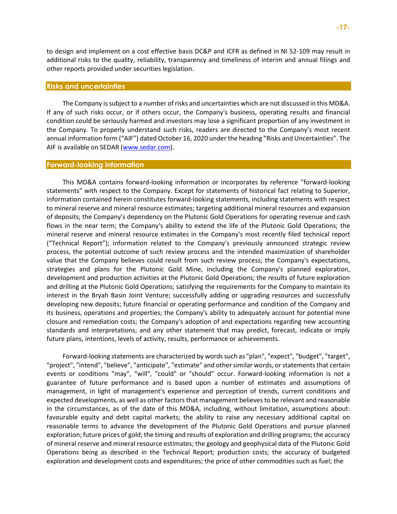to design and implement on a cost effective basis DC&P and ICFR as defined in NI 52-109 may result in additional risks to the quality, reliability, transparency and timeliness of interim and annual filings and other reports provided under securities legislation.

#### **Risks and uncertainties**

The Company is subject to a number of risks and uncertainties which are not discussed in this MD&A. If any of such risks occur, or if others occur, the Company's business, operating results and financial condition could be seriously harmed and investors may lose a significant proportion of any investment in the Company. To properly understand such risks, readers are directed to the Company's most recent annual information form ("AIF") dated October 16, 2020 under the heading "Risks and Uncertainties". The AIF is available on SEDAR [\(www.sedar.com\)](http://www.sedar.com/).

#### **Forward-looking information**

This MD&A contains forward-looking information or incorporates by reference "forward-looking statements" with respect to the Company. Except for statements of historical fact relating to Superior, information contained herein constitutes forward-looking statements, including statements with respect to mineral reserve and mineral resource estimates; targeting additional mineral resources and expansion of deposits; the Company's dependency on the Plutonic Gold Operations for operating revenue and cash flows in the near term; the Company's ability to extend the life of the Plutonic Gold Operations; the mineral reserve and mineral resource estimates in the Company's most recently filed technical report ("Technical Report"); information related to the Company's previously announced strategic review process, the potential outcome of such review process and the intended maximization of shareholder value that the Company believes could result from such review process; the Company's expectations, strategies and plans for the Plutonic Gold Mine, including the Company's planned exploration, development and production activities at the Plutonic Gold Operations; the results of future exploration and drilling at the Plutonic Gold Operations; satisfying the requirements for the Company to maintain its interest in the Bryah Basin Joint Venture; successfully adding or upgrading resources and successfully developing new deposits; future financial or operating performance and condition of the Company and its business, operations and properties; the Company's ability to adequately account for potential mine closure and remediation costs; the Company's adoption of and expectations regarding new accounting standards and interpretations; and any other statement that may predict, forecast, indicate or imply future plans, intentions, levels of activity, results, performance or achievements.

Forward-looking statements are characterized by words such as "plan", "expect", "budget", "target", "project", "intend", "believe", "anticipate", "estimate" and other similar words, or statements that certain events or conditions "may", "will", "could" or "should" occur. Forward-looking information is not a guarantee of future performance and is based upon a number of estimates and assumptions of management, in light of management's experience and perception of trends, current conditions and expected developments, as well as other factors that management believes to be relevant and reasonable in the circumstances, as of the date of this MD&A, including, without limitation, assumptions about: favourable equity and debt capital markets; the ability to raise any necessary additional capital on reasonable terms to advance the development of the Plutonic Gold Operations and pursue planned exploration; future prices of gold; the timing and results of exploration and drilling programs; the accuracy of mineral reserve and mineral resource estimates; the geology and geophysical data of the Plutonic Gold Operations being as described in the Technical Report; production costs; the accuracy of budgeted exploration and development costs and expenditures; the price of other commodities such as fuel; the